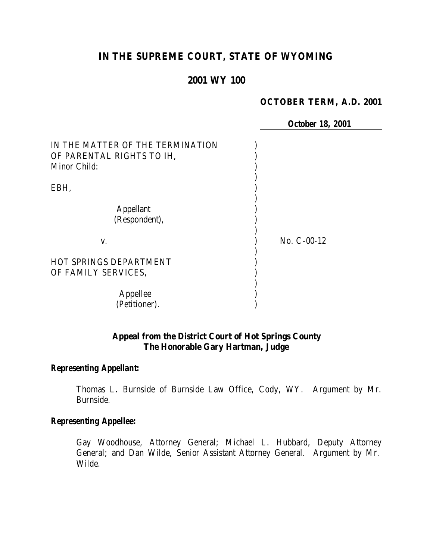# **IN THE SUPREME COURT, STATE OF WYOMING**

# **2001 WY 100**

#### **OCTOBER TERM, A.D. 2001**

|                                  | <b>October 18, 2001</b> |  |
|----------------------------------|-------------------------|--|
| IN THE MATTER OF THE TERMINATION |                         |  |
| OF PARENTAL RIGHTS TO IH,        |                         |  |
| Minor Child:                     |                         |  |
|                                  |                         |  |
| EBH,                             |                         |  |
| <b>Appellant</b>                 |                         |  |
| (Respondent),                    |                         |  |
| V.                               | $No. C-00-12$           |  |
| <b>HOT SPRINGS DEPARTMENT</b>    |                         |  |
| OF FAMILY SERVICES,              |                         |  |
|                                  |                         |  |
| Appellee                         |                         |  |
| (Petitioner).                    |                         |  |

### **Appeal from the District Court of Hot Springs County The Honorable Gary Hartman, Judge**

#### *Representing Appellant:*

Thomas L. Burnside of Burnside Law Office, Cody, WY. Argument by Mr. Burnside.

#### *Representing Appellee:*

Gay Woodhouse, Attorney General; Michael L. Hubbard, Deputy Attorney General; and Dan Wilde, Senior Assistant Attorney General. Argument by Mr. Wilde.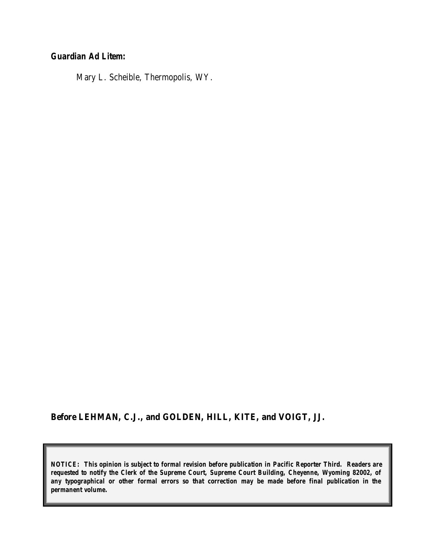# *Guardian Ad Litem:*

Mary L. Scheible, Thermopolis, WY.

### **Before LEHMAN, C.J., and GOLDEN, HILL, KITE, and VOIGT, JJ.**

*NOTICE: This opinion is subject to formal revision before publication in Pacific Reporter Third. Readers are requested to notify the Clerk of the Supreme Court, Supreme Court Building, Cheyenne, Wyoming 82002, of any typographical or other formal errors so that correction may be made before final publication in the permanent volume.*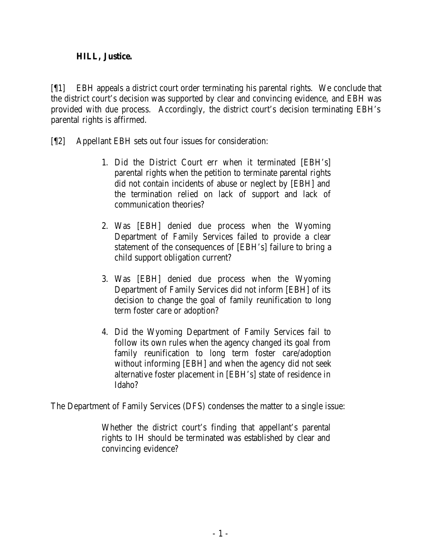## **HILL, Justice.**

[¶1] EBH appeals a district court order terminating his parental rights. We conclude that the district court's decision was supported by clear and convincing evidence, and EBH was provided with due process. Accordingly, the district court's decision terminating EBH's parental rights is affirmed.

- [¶2] Appellant EBH sets out four issues for consideration:
	- 1. Did the District Court err when it terminated [EBH's] parental rights when the petition to terminate parental rights did not contain incidents of abuse or neglect by [EBH] and the termination relied on lack of support and lack of communication theories?
	- 2. Was [EBH] denied due process when the Wyoming Department of Family Services failed to provide a clear statement of the consequences of [EBH's] failure to bring a child support obligation current?
	- 3. Was [EBH] denied due process when the Wyoming Department of Family Services did not inform [EBH] of its decision to change the goal of family reunification to long term foster care or adoption?
	- 4. Did the Wyoming Department of Family Services fail to follow its own rules when the agency changed its goal from family reunification to long term foster care/adoption without informing [EBH] and when the agency did not seek alternative foster placement in [EBH's] state of residence in Idaho?

The Department of Family Services (DFS) condenses the matter to a single issue:

Whether the district court's finding that appellant's parental rights to IH should be terminated was established by clear and convincing evidence?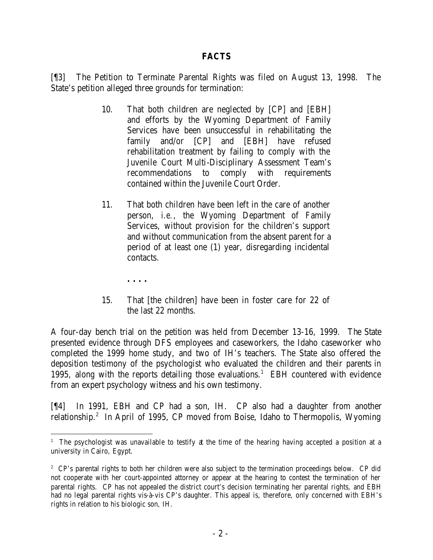### **FACTS**

[¶3] The Petition to Terminate Parental Rights was filed on August 13, 1998. The State's petition alleged three grounds for termination:

- 10. That both children are neglected by [CP] and [EBH] and efforts by the Wyoming Department of Family Services have been unsuccessful in rehabilitating the family and/or [CP] and [EBH] have refused rehabilitation treatment by failing to comply with the Juvenile Court Multi-Disciplinary Assessment Team's recommendations to comply with requirements contained within the Juvenile Court Order.
- 11. That both children have been left in the care of another person, *i.e.*, the Wyoming Department of Family Services, without provision for the children's support and without communication from the absent parent for a period of at least one (1) year, disregarding incidental contacts.
	- **. . . .**

15. That [the children] have been in foster care for 22 of the last 22 months.

A four-day bench trial on the petition was held from December 13-16, 1999. The State presented evidence through DFS employees and caseworkers, the Idaho caseworker who completed the 1999 home study, and two of IH's teachers. The State also offered the deposition testimony of the psychologist who evaluated the children and their parents in 1995, along with the reports detailing those evaluations.<sup>1</sup> EBH countered with evidence from an expert psychology witness and his own testimony.

[¶4] In 1991, EBH and CP had a son, IH. CP also had a daughter from another relationship.<sup>2</sup> In April of 1995, CP moved from Boise, Idaho to Thermopolis, Wyoming

<sup>&</sup>lt;sup>1</sup> The psychologist was unavailable to testify at the time of the hearing having accepted a position at a university in Cairo, Egypt.

<sup>&</sup>lt;sup>2</sup> CP's parental rights to both her children were also subject to the termination proceedings below. CP did not cooperate with her court-appointed attorney or appear at the hearing to contest the termination of her parental rights. CP has not appealed the district court's decision terminating her parental rights, and EBH had no legal parental rights vis-à-vis CP's daughter. This appeal is, therefore, only concerned with EBH's rights in relation to his biologic son, IH.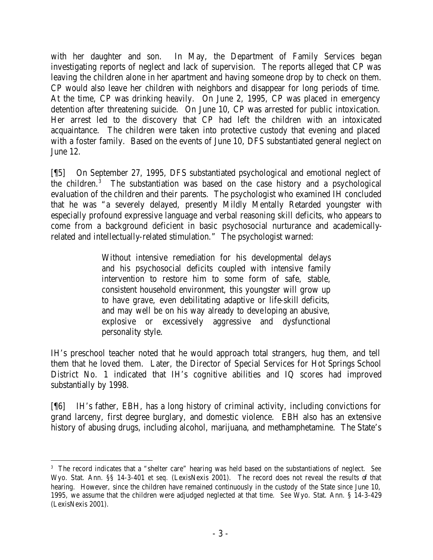with her daughter and son. In May, the Department of Family Services began investigating reports of neglect and lack of supervision. The reports alleged that CP was leaving the children alone in her apartment and having someone drop by to check on them. CP would also leave her children with neighbors and disappear for long periods of time. At the time, CP was drinking heavily. On June 2, 1995, CP was placed in emergency detention after threatening suicide. On June 10, CP was arrested for public intoxication. Her arrest led to the discovery that CP had left the children with an intoxicated acquaintance. The children were taken into protective custody that evening and placed with a foster family. Based on the events of June 10, DFS substantiated general neglect on June 12.

[¶5] On September 27, 1995, DFS substantiated psychological and emotional neglect of the children.<sup>3</sup> The substantiation was based on the case history and a psychological evaluation of the children and their parents. The psychologist who examined IH concluded that he was "a severely delayed, presently Mildly Mentally Retarded youngster with especially profound expressive language and verbal reasoning skill deficits, who appears to come from a background deficient in basic psychosocial nurturance and academicallyrelated and intellectually-related stimulation." The psychologist warned:

> Without intensive remediation for his developmental delays and his psychosocial deficits coupled with intensive family intervention to restore him to some form of safe, stable, consistent household environment, this youngster will grow up to have grave, even debilitating adaptive or life-skill deficits, and may well be on his way already to developing an abusive, explosive or excessively aggressive and dysfunctional personality style.

IH's preschool teacher noted that he would approach total strangers, hug them, and tell them that he loved them. Later, the Director of Special Services for Hot Springs School District No. 1 indicated that IH's cognitive abilities and IQ scores had improved substantially by 1998.

[¶6] IH's father, EBH, has a long history of criminal activity, including convictions for grand larceny, first degree burglary, and domestic violence. EBH also has an extensive history of abusing drugs, including alcohol, marijuana, and methamphetamine. The State's

 3 The record indicates that a "shelter care" hearing was held based on the substantiations of neglect. *See* Wyo. Stat. Ann. §§ 14-3-401 *et seq.* (LexisNexis 2001). The record does not reveal the results of that hearing. However, since the children have remained continuously in the custody of the State since June 10, 1995, we assume that the children were adjudged neglected at that time. *See* Wyo. Stat. Ann. § 14-3-429 (LexisNexis 2001).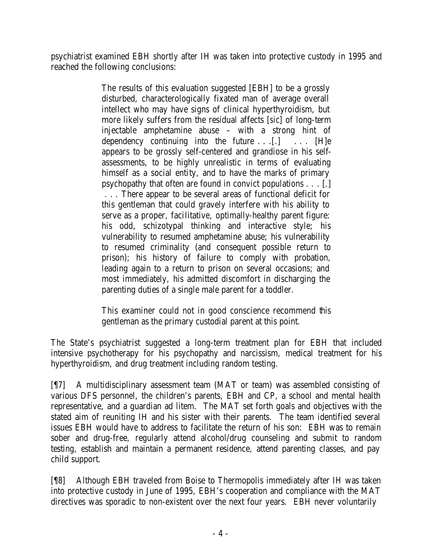psychiatrist examined EBH shortly after IH was taken into protective custody in 1995 and reached the following conclusions:

> The results of this evaluation suggested [EBH] to be a grossly disturbed, characterologically fixated man of average overall intellect who may have signs of clinical hyperthyroidism, but more likely suffers from the residual affects [*sic*] of long-term injectable amphetamine abuse – with a strong hint of dependency continuing into the future . . . [.] . . . [H]e appears to be grossly self-centered and grandiose in his selfassessments, to be highly unrealistic in terms of evaluating himself as a social entity, and to have the marks of primary psychopathy that often are found in convict populations . . . [.] . . . There appear to be several areas of functional deficit for this gentleman that could gravely interfere with his ability to serve as a proper, facilitative, optimally-healthy parent figure: his odd, schizotypal thinking and interactive style; his vulnerability to resumed amphetamine abuse; his vulnerability to resumed criminality (and consequent possible return to prison); his history of failure to comply with probation, leading again to a return to prison on several occasions; and most immediately, his admitted discomfort in discharging the parenting duties of a single male parent for a toddler.

> This examiner could not in good conscience recommend this gentleman as the primary custodial parent at this point.

The State's psychiatrist suggested a long-term treatment plan for EBH that included intensive psychotherapy for his psychopathy and narcissism, medical treatment for his hyperthyroidism, and drug treatment including random testing.

[¶7] A multidisciplinary assessment team (MAT or team) was assembled consisting of various DFS personnel, the children's parents, EBH and CP, a school and mental health representative, and a guardian ad litem. The MAT set forth goals and objectives with the stated aim of reuniting IH and his sister with their parents. The team identified several issues EBH would have to address to facilitate the return of his son: EBH was to remain sober and drug-free, regularly attend alcohol/drug counseling and submit to random testing, establish and maintain a permanent residence, attend parenting classes, and pay child support.

[¶8] Although EBH traveled from Boise to Thermopolis immediately after IH was taken into protective custody in June of 1995, EBH's cooperation and compliance with the MAT directives was sporadic to non-existent over the next four years. EBH never voluntarily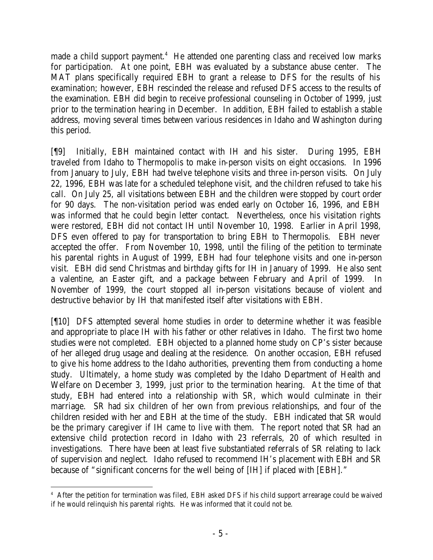made a child support payment.<sup>4</sup> He attended one parenting class and received low marks for participation. At one point, EBH was evaluated by a substance abuse center. The MAT plans specifically required EBH to grant a release to DFS for the results of his examination; however, EBH rescinded the release and refused DFS access to the results of the examination. EBH did begin to receive professional counseling in October of 1999, just prior to the termination hearing in December. In addition, EBH failed to establish a stable address, moving several times between various residences in Idaho and Washington during this period.

[¶9] Initially, EBH maintained contact with IH and his sister. During 1995, EBH traveled from Idaho to Thermopolis to make in-person visits on eight occasions. In 1996 from January to July, EBH had twelve telephone visits and three in-person visits. On July 22, 1996, EBH was late for a scheduled telephone visit, and the children refused to take his call. On July 25, all visitations between EBH and the children were stopped by court order for 90 days. The non-visitation period was ended early on October 16, 1996, and EBH was informed that he could begin letter contact. Nevertheless, once his visitation rights were restored, EBH did not contact IH until November 10, 1998. Earlier in April 1998, DFS even offered to pay for transportation to bring EBH to Thermopolis. EBH never accepted the offer. From November 10, 1998, until the filing of the petition to terminate his parental rights in August of 1999, EBH had four telephone visits and one in-person visit. EBH did send Christmas and birthday gifts for IH in January of 1999. He also sent a valentine, an Easter gift, and a package between February and April of 1999. In November of 1999, the court stopped all in-person visitations because of violent and destructive behavior by IH that manifested itself after visitations with EBH.

[¶10] DFS attempted several home studies in order to determine whether it was feasible and appropriate to place IH with his father or other relatives in Idaho. The first two home studies were not completed. EBH objected to a planned home study on CP's sister because of her alleged drug usage and dealing at the residence. On another occasion, EBH refused to give his home address to the Idaho authorities, preventing them from conducting a home study. Ultimately, a home study was completed by the Idaho Department of Health and Welfare on December 3, 1999, just prior to the termination hearing. At the time of that study, EBH had entered into a relationship with SR, which would culminate in their marriage. SR had six children of her own from previous relationships, and four of the children resided with her and EBH at the time of the study. EBH indicated that SR would be the primary caregiver if IH came to live with them. The report noted that SR had an extensive child protection record in Idaho with 23 referrals, 20 of which resulted in investigations. There have been at least five substantiated referrals of SR relating to lack of supervision and neglect. Idaho refused to recommend IH's placement with EBH and SR because of "significant concerns for the well being of [IH] if placed with [EBH]."

 4 After the petition for termination was filed, EBH asked DFS if his child support arrearage could be waived if he would relinquish his parental rights. He was informed that it could not be.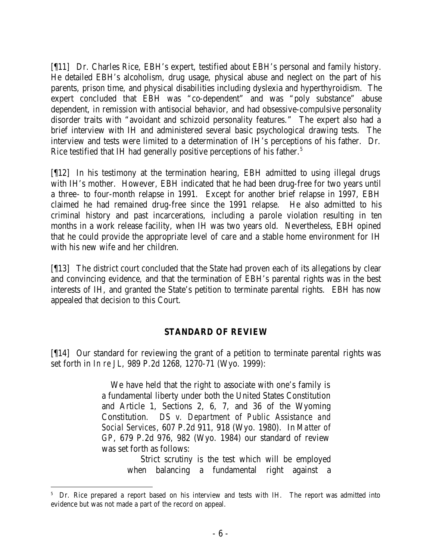[¶11] Dr. Charles Rice, EBH's expert, testified about EBH's personal and family history. He detailed EBH's alcoholism, drug usage, physical abuse and neglect on the part of his parents, prison time, and physical disabilities including dyslexia and hyperthyroidism. The expert concluded that EBH was "co-dependent" and was "poly substance" abuse dependent, in remission with antisocial behavior, and had obsessive-compulsive personality disorder traits with "avoidant and schizoid personality features." The expert also had a brief interview with IH and administered several basic psychological drawing tests. The interview and tests were limited to a determination of IH's perceptions of his father. Dr. Rice testified that IH had generally positive perceptions of his father.<sup>5</sup>

[¶12] In his testimony at the termination hearing, EBH admitted to using illegal drugs with IH's mother. However, EBH indicated that he had been drug-free for two years until a three- to four-month relapse in 1991. Except for another brief relapse in 1997, EBH claimed he had remained drug-free since the 1991 relapse. He also admitted to his criminal history and past incarcerations, including a parole violation resulting in ten months in a work release facility, when IH was two years old. Nevertheless, EBH opined that he could provide the appropriate level of care and a stable home environment for IH with his new wife and her children.

[¶13] The district court concluded that the State had proven each of its allegations by clear and convincing evidence, and that the termination of EBH's parental rights was in the best interests of IH, and granted the State's petition to terminate parental rights. EBH has now appealed that decision to this Court.

## **STANDARD OF REVIEW**

[¶14] Our standard for reviewing the grant of a petition to terminate parental rights was set forth in *In re JL*, 989 P.2d 1268, 1270-71 (Wyo. 1999):

> We have held that the right to associate with one's family is a fundamental liberty under both the United States Constitution and Article 1, Sections 2, 6, 7, and 36 of the Wyoming Constitution. *DS v. Department of Public Assistance and Social Services*, 607 P.2d 911, 918 (Wyo. 1980). In *Matter of GP*, 679 P.2d 976, 982 (Wyo. 1984) our standard of review was set forth as follows:

 Strict scrutiny is the test which will be employed when balancing a fundamental right against a

<sup>&</sup>lt;sup>5</sup> Dr. Rice prepared a report based on his interview and tests with IH. The report was admitted into evidence but was not made a part of the record on appeal.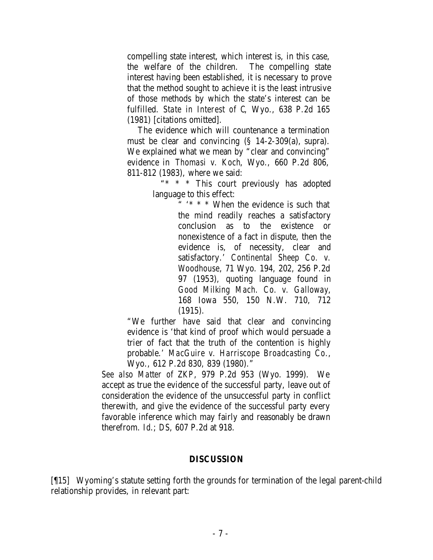compelling state interest, which interest is, in this case, the welfare of the children. The compelling state interest having been established, it is necessary to prove that the method sought to achieve it is the least intrusive of those methods by which the state's interest can be fulfilled. *State in Interest of C*, Wyo., 638 P.2d 165 (1981) [citations omitted].

 The evidence which will countenance a termination must be clear and convincing (§ 14-2-309(a), supra). We explained what we mean by "clear and convincing" evidence in *Thomasi v. Koch*, Wyo., 660 P.2d 806, 811-812 (1983), where we said:

 "\* \* \* This court previously has adopted language to this effect:

> " '\* \* \* When the evidence is such that the mind readily reaches a satisfactory conclusion as to the existence or nonexistence of a fact in dispute, then the evidence is, of necessity, clear and satisfactory.' *Continental Sheep Co. v. Woodhouse*, 71 Wyo. 194, 202, 256 P.2d 97 (1953), quoting language found in *Good Milking Mach. Co. v. Galloway*, 168 Iowa 550, 150 N.W. 710, 712 (1915).

"We further have said that clear and convincing evidence is 'that kind of proof which would persuade a trier of fact that the truth of the contention is highly probable.' *MacGuire v. Harriscope Broadcasting Co.*, Wyo., 612 P.2d 830, 839 (1980)."

*See also Matter of ZKP*, 979 P.2d 953 (Wyo. 1999). We accept as true the evidence of the successful party, leave out of consideration the evidence of the unsuccessful party in conflict therewith, and give the evidence of the successful party every favorable inference which may fairly and reasonably be drawn therefrom. *Id*.; *DS*, 607 P.2d at 918.

#### **DISCUSSION**

[¶15] Wyoming's statute setting forth the grounds for termination of the legal parent-child relationship provides, in relevant part: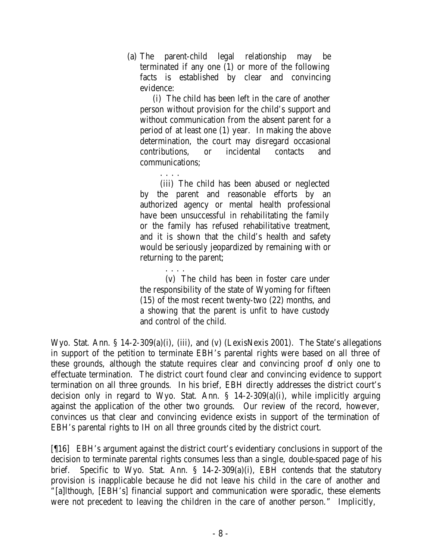(a) The parent-child legal relationship may be terminated if any one (1) or more of the following facts is established by clear and convincing evidence:

(i) The child has been left in the care of another person without provision for the child's support and without communication from the absent parent for a period of at least one (1) year. In making the above determination, the court may disregard occasional contributions, or incidental contacts and communications;

. . . . (iii) The child has been abused or neglected by the parent and reasonable efforts by an authorized agency or mental health professional have been unsuccessful in rehabilitating the family or the family has refused rehabilitative treatment, and it is shown that the child's health and safety would be seriously jeopardized by remaining with or returning to the parent;

(v) The child has been in foster care under the responsibility of the state of Wyoming for fifteen (15) of the most recent twenty-two (22) months, and a showing that the parent is unfit to have custody and control of the child.

Wyo. Stat. Ann. § 14-2-309(a)(i), (iii), and (v) (LexisNexis 2001). The State's allegations in support of the petition to terminate EBH's parental rights were based on all three of these grounds, although the statute requires clear and convincing proof of only one to effectuate termination. The district court found clear and convincing evidence to support termination on all three grounds. In his brief, EBH directly addresses the district court's decision only in regard to Wyo. Stat. Ann. § 14-2-309(a)(i), while implicitly arguing against the application of the other two grounds. Our review of the record, however, convinces us that clear and convincing evidence exists in support of the termination of EBH's parental rights to IH on all three grounds cited by the district court.

. . . .

[¶16] EBH's argument against the district court's evidentiary conclusions in support of the decision to terminate parental rights consumes less than a single, double-spaced page of his brief. Specific to Wyo. Stat. Ann. § 14-2-309(a)(i), EBH contends that the statutory provision is inapplicable because he did not leave his child in the care of another and "[a]lthough, [EBH's] financial support and communication were sporadic, these elements were not precedent to leaving the children in the care of another person." Implicitly,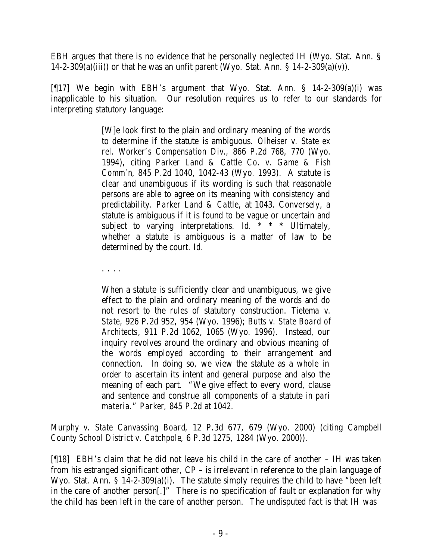EBH argues that there is no evidence that he personally neglected IH (Wyo. Stat. Ann. § 14-2-309(a)(iii)) or that he was an unfit parent (Wyo. Stat. Ann.  $\S$  14-2-309(a)(v)).

[¶17] We begin with EBH's argument that Wyo. Stat. Ann. § 14-2-309(a)(i) was inapplicable to his situation. Our resolution requires us to refer to our standards for interpreting statutory language:

> [W]e look first to the plain and ordinary meaning of the words to determine if the statute is ambiguous. *Olheiser v. State ex rel. Worker's Compensation Div.*, 866 P.2d 768, 770 (Wyo. 1994), citing *Parker Land & Cattle Co. v. Game & Fish Comm'n*, 845 P.2d 1040, 1042-43 (Wyo. 1993). A statute is clear and unambiguous if its wording is such that reasonable persons are able to agree on its meaning with consistency and predictability. *Parker Land & Cattle*, at 1043. Conversely, a statute is ambiguous if it is found to be vague or uncertain and subject to varying interpretations. *Id.* \* \* \* Ultimately, whether a statute is ambiguous is a matter of law to be determined by the court. *Id.*

. . . .

When a statute is sufficiently clear and unambiguous, we give effect to the plain and ordinary meaning of the words and do not resort to the rules of statutory construction. *Tietema v. State*, 926 P.2d 952, 954 (Wyo. 1996); *Butts v. State Board of Architects*, 911 P.2d 1062, 1065 (Wyo. 1996). Instead, our inquiry revolves around the ordinary and obvious meaning of the words employed according to their arrangement and connection. In doing so, we view the statute as a whole in order to ascertain its intent and general purpose and also the meaning of each part. "We give effect to every word, clause and sentence and construe all components of a statute *in pari materia*." *Parker*, 845 P.2d at 1042.

*Murphy v. State Canvassing Board*, 12 P.3d 677, 679 (Wyo. 2000) (citing *Campbell County School District v. Catchpole*, 6 P.3d 1275, 1284 (Wyo. 2000)).

[¶18] EBH's claim that he did not leave his child in the care of another – IH was taken from his estranged significant other, CP – is irrelevant in reference to the plain language of Wyo. Stat. Ann. § 14-2-309(a)(i). The statute simply requires the child to have "been left in the care of another person[.]" There is no specification of fault or explanation for why the child has been left in the care of another person. The undisputed fact is that IH was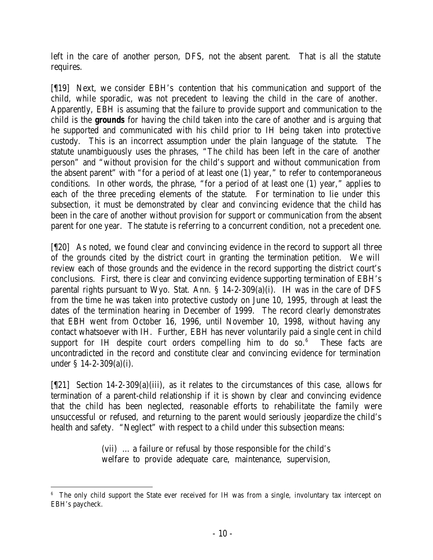left in the care of another person, DFS, not the absent parent. That is all the statute requires.

[¶19] Next, we consider EBH's contention that his communication and support of the child, while sporadic, was not precedent to leaving the child in the care of another. Apparently, EBH is assuming that the failure to provide support and communication to the child is the *grounds* for having the child taken into the care of another and is arguing that he supported and communicated with his child prior to IH being taken into protective custody. This is an incorrect assumption under the plain language of the statute. The statute unambiguously uses the phrases, "The child has been left in the care of another person" and "without provision for the child's support and without communication from the absent parent" with "for a period of at least one (1) year," to refer to contemporaneous conditions. In other words, the phrase, "for a period of at least one (1) year," applies to each of the three preceding elements of the statute. For termination to lie under this subsection, it must be demonstrated by clear and convincing evidence that the child has been in the care of another without provision for support or communication from the absent parent for one year. The statute is referring to a concurrent condition, not a precedent one.

[¶20] As noted, we found clear and convincing evidence in the record to support all three of the grounds cited by the district court in granting the termination petition. We will review each of those grounds and the evidence in the record supporting the district court's conclusions. First, there is clear and convincing evidence supporting termination of EBH's parental rights pursuant to Wyo. Stat. Ann. § 14-2-309(a)(i). IH was in the care of DFS from the time he was taken into protective custody on June 10, 1995, through at least the dates of the termination hearing in December of 1999. The record clearly demonstrates that EBH went from October 16, 1996, until November 10, 1998, without having any contact whatsoever with IH. Further, EBH has never voluntarily paid a single cent in child support for IH despite court orders compelling him to do so. $6$  These facts are uncontradicted in the record and constitute clear and convincing evidence for termination under § 14-2-309(a)(i).

[¶21] Section 14-2-309(a)(iii), as it relates to the circumstances of this case, allows for termination of a parent-child relationship if it is shown by clear and convincing evidence that the child has been neglected, reasonable efforts to rehabilitate the family were unsuccessful or refused, and returning to the parent would seriously jeopardize the child's health and safety. "Neglect" with respect to a child under this subsection means:

> (vii) … a failure or refusal by those responsible for the child's welfare to provide adequate care, maintenance, supervision,

 <sup>6</sup> The only child support the State ever received for IH was from a single, involuntary tax intercept on EBH's paycheck.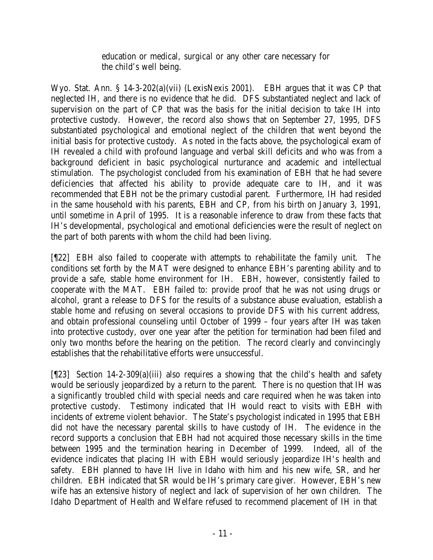education or medical, surgical or any other care necessary for the child's well being.

Wyo. Stat. Ann. § 14-3-202(a)(vii) (LexisNexis 2001). EBH argues that it was CP that neglected IH, and there is no evidence that he did. DFS substantiated neglect and lack of supervision on the part of CP that was the basis for the initial decision to take IH into protective custody. However, the record also shows that on September 27, 1995, DFS substantiated psychological and emotional neglect of the children that went beyond the initial basis for protective custody. As noted in the facts above, the psychological exam of IH revealed a child with profound language and verbal skill deficits and who was from a background deficient in basic psychological nurturance and academic and intellectual stimulation. The psychologist concluded from his examination of EBH that he had severe deficiencies that affected his ability to provide adequate care to IH, and it was recommended that EBH not be the primary custodial parent. Furthermore, IH had resided in the same household with his parents, EBH and CP, from his birth on January 3, 1991, until sometime in April of 1995. It is a reasonable inference to draw from these facts that IH's developmental, psychological and emotional deficiencies were the result of neglect on the part of both parents with whom the child had been living.

[¶22] EBH also failed to cooperate with attempts to rehabilitate the family unit. The conditions set forth by the MAT were designed to enhance EBH's parenting ability and to provide a safe, stable home environment for IH. EBH, however, consistently failed to cooperate with the MAT. EBH failed to: provide proof that he was not using drugs or alcohol, grant a release to DFS for the results of a substance abuse evaluation, establish a stable home and refusing on several occasions to provide DFS with his current address, and obtain professional counseling until October of 1999 – four years after IH was taken into protective custody, over one year after the petition for termination had been filed and only two months before the hearing on the petition. The record clearly and convincingly establishes that the rehabilitative efforts were unsuccessful.

[¶23] Section 14-2-309(a)(iii) also requires a showing that the child's health and safety would be seriously jeopardized by a return to the parent. There is no question that IH was a significantly troubled child with special needs and care required when he was taken into protective custody. Testimony indicated that IH would react to visits with EBH with incidents of extreme violent behavior. The State's psychologist indicated in 1995 that EBH did not have the necessary parental skills to have custody of IH. The evidence in the record supports a conclusion that EBH had not acquired those necessary skills in the time between 1995 and the termination hearing in December of 1999. Indeed, all of the evidence indicates that placing IH with EBH would seriously jeopardize IH's health and safety. EBH planned to have IH live in Idaho with him and his new wife, SR, and her children. EBH indicated that SR would be IH's primary care giver. However, EBH's new wife has an extensive history of neglect and lack of supervision of her own children. The Idaho Department of Health and Welfare refused to recommend placement of IH in that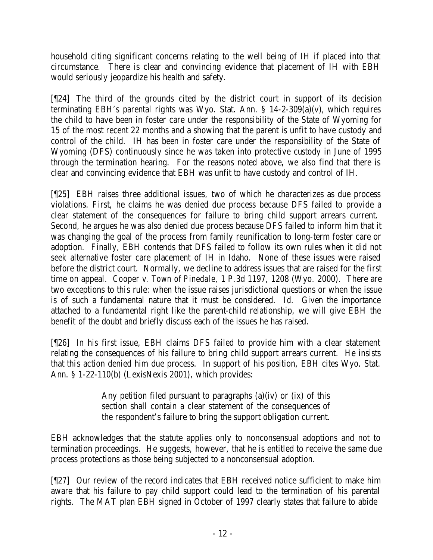household citing significant concerns relating to the well being of IH if placed into that circumstance. There is clear and convincing evidence that placement of IH with EBH would seriously jeopardize his health and safety.

[¶24] The third of the grounds cited by the district court in support of its decision terminating EBH's parental rights was Wyo. Stat. Ann. § 14-2-309(a)(v), which requires the child to have been in foster care under the responsibility of the State of Wyoming for 15 of the most recent 22 months and a showing that the parent is unfit to have custody and control of the child. IH has been in foster care under the responsibility of the State of Wyoming (DFS) continuously since he was taken into protective custody in June of 1995 through the termination hearing. For the reasons noted above, we also find that there is clear and convincing evidence that EBH was unfit to have custody and control of IH.

[¶25] EBH raises three additional issues, two of which he characterizes as due process violations. First, he claims he was denied due process because DFS failed to provide a clear statement of the consequences for failure to bring child support arrears current. Second, he argues he was also denied due process because DFS failed to inform him that it was changing the goal of the process from family reunification to long-term foster care or adoption. Finally, EBH contends that DFS failed to follow its own rules when it did not seek alternative foster care placement of IH in Idaho. None of these issues were raised before the district court. Normally, we decline to address issues that are raised for the first time on appeal. *Cooper v. Town of Pinedale*, 1 P.3d 1197, 1208 (Wyo. 2000). There are two exceptions to this rule: when the issue raises jurisdictional questions or when the issue is of such a fundamental nature that it must be considered. *Id*. Given the importance attached to a fundamental right like the parent-child relationship, we will give EBH the benefit of the doubt and briefly discuss each of the issues he has raised.

[¶26] In his first issue, EBH claims DFS failed to provide him with a clear statement relating the consequences of his failure to bring child support arrears current. He insists that this action denied him due process. In support of his position, EBH cites Wyo. Stat. Ann. § 1-22-110(b) (LexisNexis 2001), which provides:

> Any petition filed pursuant to paragraphs  $(a)(iv)$  or  $(ix)$  of this section shall contain a clear statement of the consequences of the respondent's failure to bring the support obligation current.

EBH acknowledges that the statute applies only to nonconsensual adoptions and not to termination proceedings. He suggests, however, that he is entitled to receive the same due process protections as those being subjected to a nonconsensual adoption.

[¶27] Our review of the record indicates that EBH received notice sufficient to make him aware that his failure to pay child support could lead to the termination of his parental rights. The MAT plan EBH signed in October of 1997 clearly states that failure to abide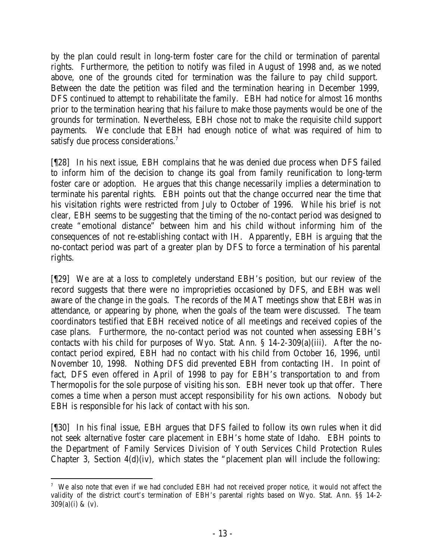by the plan could result in long-term foster care for the child or termination of parental rights. Furthermore, the petition to notify was filed in August of 1998 and, as we noted above, one of the grounds cited for termination was the failure to pay child support. Between the date the petition was filed and the termination hearing in December 1999, DFS continued to attempt to rehabilitate the family. EBH had notice for almost 16 months prior to the termination hearing that his failure to make those payments would be one of the grounds for termination. Nevertheless, EBH chose not to make the requisite child support payments. We conclude that EBH had enough notice of what was required of him to satisfy due process considerations.<sup>7</sup>

[¶28] In his next issue, EBH complains that he was denied due process when DFS failed to inform him of the decision to change its goal from family reunification to long-term foster care or adoption. He argues that this change necessarily implies a determination to terminate his parental rights. EBH points out that the change occurred near the time that his visitation rights were restricted from July to October of 1996. While his brief is not clear, EBH seems to be suggesting that the timing of the no-contact period was designed to create "emotional distance" between him and his child without informing him of the consequences of not re-establishing contact with IH. Apparently, EBH is arguing that the no-contact period was part of a greater plan by DFS to force a termination of his parental rights.

[¶29] We are at a loss to completely understand EBH's position, but our review of the record suggests that there were no improprieties occasioned by DFS, and EBH was well aware of the change in the goals. The records of the MAT meetings show that EBH was in attendance, or appearing by phone, when the goals of the team were discussed. The team coordinators testified that EBH received notice of all me etings and received copies of the case plans. Furthermore, the no-contact period was not counted when assessing EBH's contacts with his child for purposes of Wyo. Stat. Ann. § 14-2-309(a)(iii). After the nocontact period expired, EBH had no contact with his child from October 16, 1996, until November 10, 1998. Nothing DFS did prevented EBH from contacting IH. In point of fact, DFS even offered in April of 1998 to pay for EBH's transportation to and from Thermopolis for the sole purpose of visiting his son. EBH never took up that offer. There comes a time when a person must accept responsibility for his own actions. Nobody but EBH is responsible for his lack of contact with his son.

[¶30] In his final issue, EBH argues that DFS failed to follow its own rules when it did not seek alternative foster care placement in EBH's home state of Idaho. EBH points to the Department of Family Services Division of Youth Services Child Protection Rules Chapter 3, Section 4(d)(iv), which states the "placement plan will include the following:

 7 We also note that even if we had concluded EBH had not received proper notice, it would not affect the validity of the district court's termination of EBH's parental rights based on Wyo. Stat. Ann. §§ 14-2-  $309(a)(i)$  &  $(v)$ .